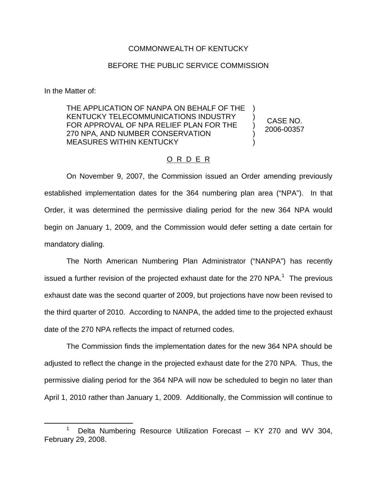## COMMONWEALTH OF KENTUCKY

## BEFORE THE PUBLIC SERVICE COMMISSION

In the Matter of:

THE APPLICATION OF NANPA ON BEHALF OF THE KENTUCKY TELECOMMUNICATIONS INDUSTRY FOR APPROVAL OF NPA RELIEF PLAN FOR THE 270 NPA, AND NUMBER CONSERVATION MEASURES WITHIN KENTUCKY ) ) ) ) )

CASE NO. 2006-00357

## O R D E R

On November 9, 2007, the Commission issued an Order amending previously established implementation dates for the 364 numbering plan area ("NPA"). In that Order, it was determined the permissive dialing period for the new 364 NPA would begin on January 1, 2009, and the Commission would defer setting a date certain for mandatory dialing.

The North American Numbering Plan Administrator ("NANPA") has recently issued a further revision of the projected exhaust date for the 270 NPA.<sup>1</sup> The previous exhaust date was the second quarter of 2009, but projections have now been revised to the third quarter of 2010. According to NANPA, the added time to the projected exhaust date of the 270 NPA reflects the impact of returned codes.

The Commission finds the implementation dates for the new 364 NPA should be adjusted to reflect the change in the projected exhaust date for the 270 NPA. Thus, the permissive dialing period for the 364 NPA will now be scheduled to begin no later than April 1, 2010 rather than January 1, 2009. Additionally, the Commission will continue to

Delta Numbering Resource Utilization Forecast – KY 270 and WV 304, February 29, 2008.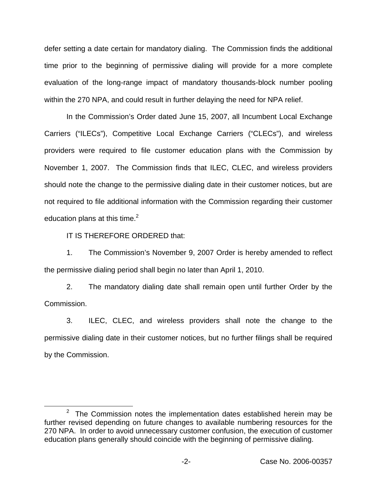defer setting a date certain for mandatory dialing. The Commission finds the additional time prior to the beginning of permissive dialing will provide for a more complete evaluation of the long-range impact of mandatory thousands-block number pooling within the 270 NPA, and could result in further delaying the need for NPA relief.

In the Commission's Order dated June 15, 2007, all Incumbent Local Exchange Carriers ("ILECs"), Competitive Local Exchange Carriers ("CLECs"), and wireless providers were required to file customer education plans with the Commission by November 1, 2007. The Commission finds that ILEC, CLEC, and wireless providers should note the change to the permissive dialing date in their customer notices, but are not required to file additional information with the Commission regarding their customer education plans at this time. $2$ 

IT IS THEREFORE ORDERED that:

1. The Commission's November 9, 2007 Order is hereby amended to reflect the permissive dialing period shall begin no later than April 1, 2010.

2. The mandatory dialing date shall remain open until further Order by the Commission.

3. ILEC, CLEC, and wireless providers shall note the change to the permissive dialing date in their customer notices, but no further filings shall be required by the Commission.

 $2$  The Commission notes the implementation dates established herein may be further revised depending on future changes to available numbering resources for the 270 NPA. In order to avoid unnecessary customer confusion, the execution of customer education plans generally should coincide with the beginning of permissive dialing.